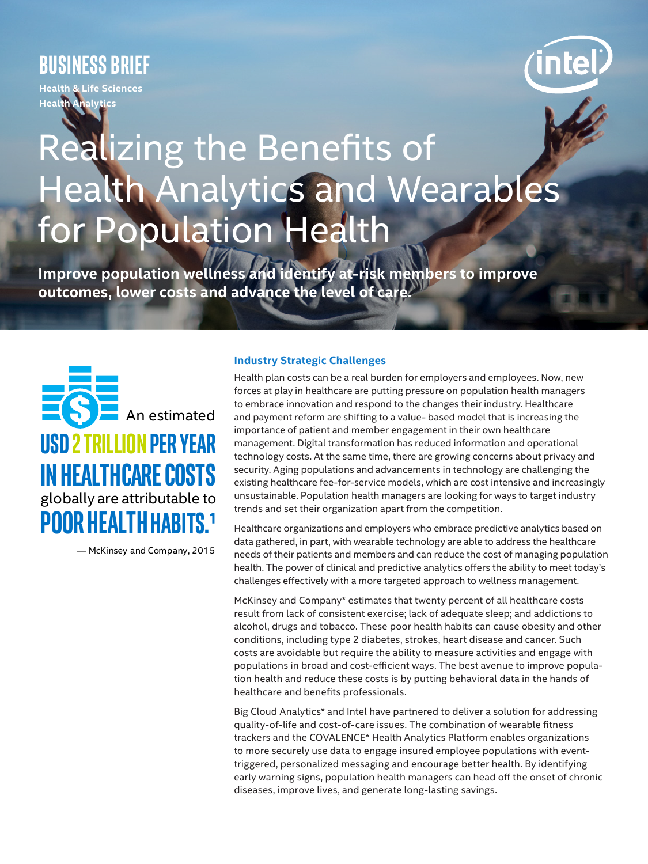# **BUSINESS brief**

**Health & Life Sciences Health Analytics**

# Realizing the Benefits of Health Analytics and Wearables for Population Health

**Improve population wellness and identify at-risk members to improve outcomes, lower costs and advance the level of care.** 



— McKinsey and Company, 2015

### **Industry Strategic Challenges**

Health plan costs can be a real burden for employers and employees. Now, new forces at play in healthcare are putting pressure on population health managers to embrace innovation and respond to the changes their industry. Healthcare and payment reform are shifting to a value- based model that is increasing the importance of patient and member engagement in their own healthcare management. Digital transformation has reduced information and operational technology costs. At the same time, there are growing concerns about privacy and security. Aging populations and advancements in technology are challenging the existing healthcare fee-for-service models, which are cost intensive and increasingly unsustainable. Population health managers are looking for ways to target industry trends and set their organization apart from the competition.

Healthcare organizations and employers who embrace predictive analytics based on data gathered, in part, with wearable technology are able to address the healthcare needs of their patients and members and can reduce the cost of managing population health. The power of clinical and predictive analytics offers the ability to meet today's challenges effectively with a more targeted approach to wellness management.

McKinsey and Company\* estimates that twenty percent of all healthcare costs result from lack of consistent exercise; lack of adequate sleep; and addictions to alcohol, drugs and tobacco. These poor health habits can cause obesity and other conditions, including type 2 diabetes, strokes, heart disease and cancer. Such costs are avoidable but require the ability to measure activities and engage with populations in broad and cost-efficient ways. The best avenue to improve population health and reduce these costs is by putting behavioral data in the hands of healthcare and benefits professionals.

Big Cloud Analytics\* and Intel have partnered to deliver a solution for addressing quality-of-life and cost-of-care issues. The combination of wearable fitness trackers and the COVALENCE\* Health Analytics Platform enables organizations to more securely use data to engage insured employee populations with eventtriggered, personalized messaging and encourage better health. By identifying early warning signs, population health managers can head off the onset of chronic diseases, improve lives, and generate long-lasting savings.